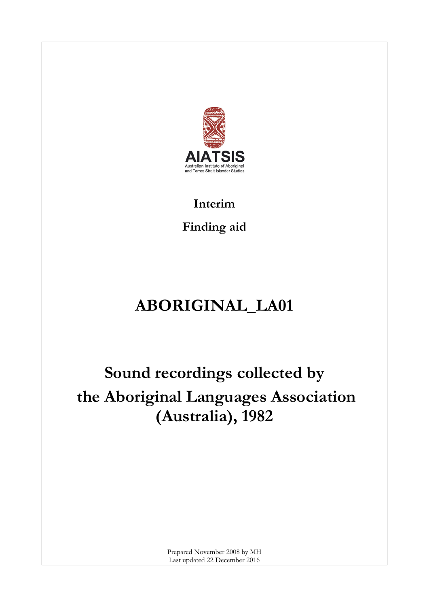

## **Interim Finding aid**

# **ABORIGINAL\_LA01**

## **Sound recordings collected by the Aboriginal Languages Association (Australia), 1982**

Prepared November 2008 by MH Last updated 22 December 2016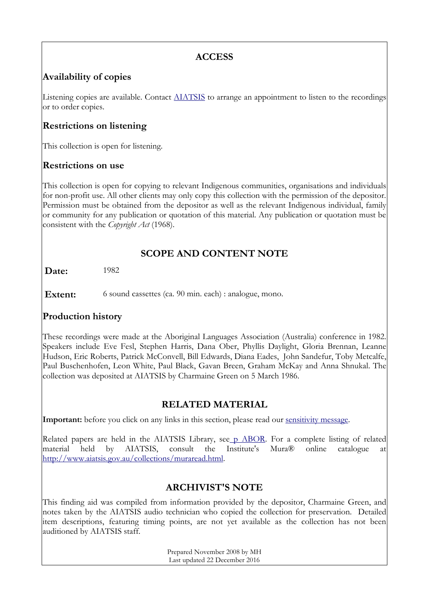## **ACCESS**

### **Availability of copies**

Listening copies are available. Contact **AIATSIS** to arrange an appointment to listen to the recordings or to order copies.

## **Restrictions on listening**

This collection is open for listening.

#### **Restrictions on use**

This collection is open for copying to relevant Indigenous communities, organisations and individuals for non-profit use. All other clients may only copy this collection with the permission of the depositor. Permission must be obtained from the depositor as well as the relevant Indigenous individual, family or community for any publication or quotation of this material. Any publication or quotation must be consistent with the *Copyright Act* (1968).

## **SCOPE AND CONTENT NOTE**

**Date:** 1982

**Extent:** 6 sound cassettes (ca. 90 min. each) : analogue, mono.

#### **Production history**

These recordings were made at the Aboriginal Languages Association (Australia) conference in 1982. Speakers include Eve Fesl, Stephen Harris, Dana Ober, Phyllis Daylight, Gloria Brennan, Leanne Hudson, Eric Roberts, Patrick McConvell, Bill Edwards, Diana Eades, John Sandefur, Toby Metcalfe, Paul Buschenhofen, Leon White, Paul Black, Gavan Breen, Graham McKay and Anna Shnukal. The collection was deposited at AIATSIS by Charmaine Green on 5 March 1986.

## **RELATED MATERIAL**

**Important:** before you click on any links in this section, please read our [sensitivity message.](http://www.aiatsis.gov.au/collections/muraread.html)

Related papers are held in the AIATSIS Library, se[e](http://catalogue.aiatsis.gov.au/client/en_AU/internal/search/results?qu=p+ABOR&te=) [p ABOR.](http://catalogue.aiatsis.gov.au/client/en_AU/internal/search/results?qu=p+ABOR&te=) For a complete listing of related material held by AIATSIS, consult the Institute's Mura® online catalogue at [http://www.aiatsis.gov.au/collections/muraread.html.](http://www.aiatsis.gov.au/collections/muraread.html)

#### **ARCHIVIST'S NOTE**

This finding aid was compiled from information provided by the depositor, Charmaine Green, and notes taken by the AIATSIS audio technician who copied the collection for preservation. Detailed item descriptions, featuring timing points, are not yet available as the collection has not been auditioned by AIATSIS staff.

> Prepared November 2008 by MH Last updated 22 December 2016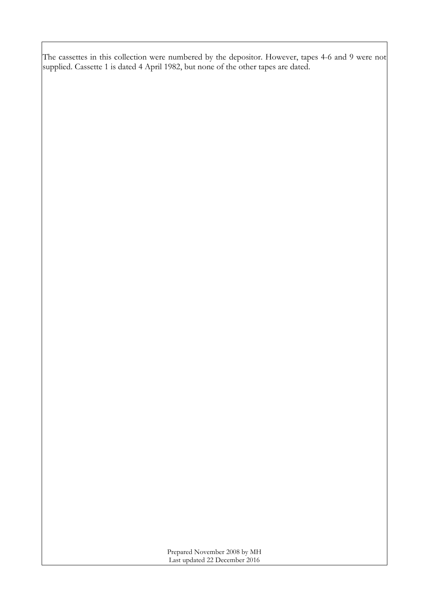The cassettes in this collection were numbered by the depositor. However, tapes 4-6 and 9 were not supplied. Cassette 1 is dated 4 April 1982, but none of the other tapes are dated.